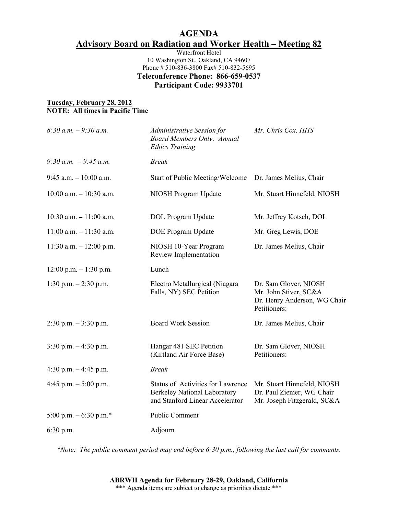# **AGENDA Advisory Board on Radiation and Worker Health – Meeting 82**

Waterfront Hotel 10 Washington St., Oakland, CA 94607 Phone # 510-836-3800 Fax# 510-832-5695 **Teleconference Phone: 866-659-0537 Participant Code: 9933701** 

#### **Tuesday, February 28, 2012 NOTE: All times in Pacific Time**

| $8:30 a.m. - 9:30 a.m.$    | Administrative Session for<br><b>Board Members Only: Annual</b><br><b>Ethics Training</b>                          | Mr. Chris Cox, HHS                                                                             |
|----------------------------|--------------------------------------------------------------------------------------------------------------------|------------------------------------------------------------------------------------------------|
| 9:30 a.m. $-9:45$ a.m.     | <b>Break</b>                                                                                                       |                                                                                                |
| $9:45$ a.m. $-10:00$ a.m.  | <b>Start of Public Meeting/Welcome</b>                                                                             | Dr. James Melius, Chair                                                                        |
| $10:00$ a.m. $-10:30$ a.m. | NIOSH Program Update                                                                                               | Mr. Stuart Hinnefeld, NIOSH                                                                    |
| $10:30$ a.m. $-11:00$ a.m. | DOL Program Update                                                                                                 | Mr. Jeffrey Kotsch, DOL                                                                        |
| $11:00$ a.m. $-11:30$ a.m. | DOE Program Update                                                                                                 | Mr. Greg Lewis, DOE                                                                            |
| $11:30$ a.m. $-12:00$ p.m. | NIOSH 10-Year Program<br>Review Implementation                                                                     | Dr. James Melius, Chair                                                                        |
| $12:00$ p.m. $-1:30$ p.m.  | Lunch                                                                                                              |                                                                                                |
| 1:30 p.m. $-2:30$ p.m.     | Electro Metallurgical (Niagara<br>Falls, NY) SEC Petition                                                          | Dr. Sam Glover, NIOSH<br>Mr. John Stiver, SC&A<br>Dr. Henry Anderson, WG Chair<br>Petitioners: |
| $2:30$ p.m. $-3:30$ p.m.   | <b>Board Work Session</b>                                                                                          | Dr. James Melius, Chair                                                                        |
| $3:30$ p.m. $-4:30$ p.m.   | Hangar 481 SEC Petition<br>(Kirtland Air Force Base)                                                               | Dr. Sam Glover, NIOSH<br>Petitioners:                                                          |
| 4:30 p.m. $-4:45$ p.m.     | <b>Break</b>                                                                                                       |                                                                                                |
| 4:45 p.m. $-5:00$ p.m.     | <b>Status of Activities for Lawrence</b><br><b>Berkeley National Laboratory</b><br>and Stanford Linear Accelerator | Mr. Stuart Hinnefeld, NIOSH<br>Dr. Paul Ziemer, WG Chair<br>Mr. Joseph Fitzgerald, SC&A        |
| 5:00 p.m. $-6:30$ p.m.*    | <b>Public Comment</b>                                                                                              |                                                                                                |
| $6:30$ p.m.                | Adjourn                                                                                                            |                                                                                                |
|                            |                                                                                                                    |                                                                                                |

*\*Note: The public comment period may end before 6:30 p.m., following the last call for comments.*